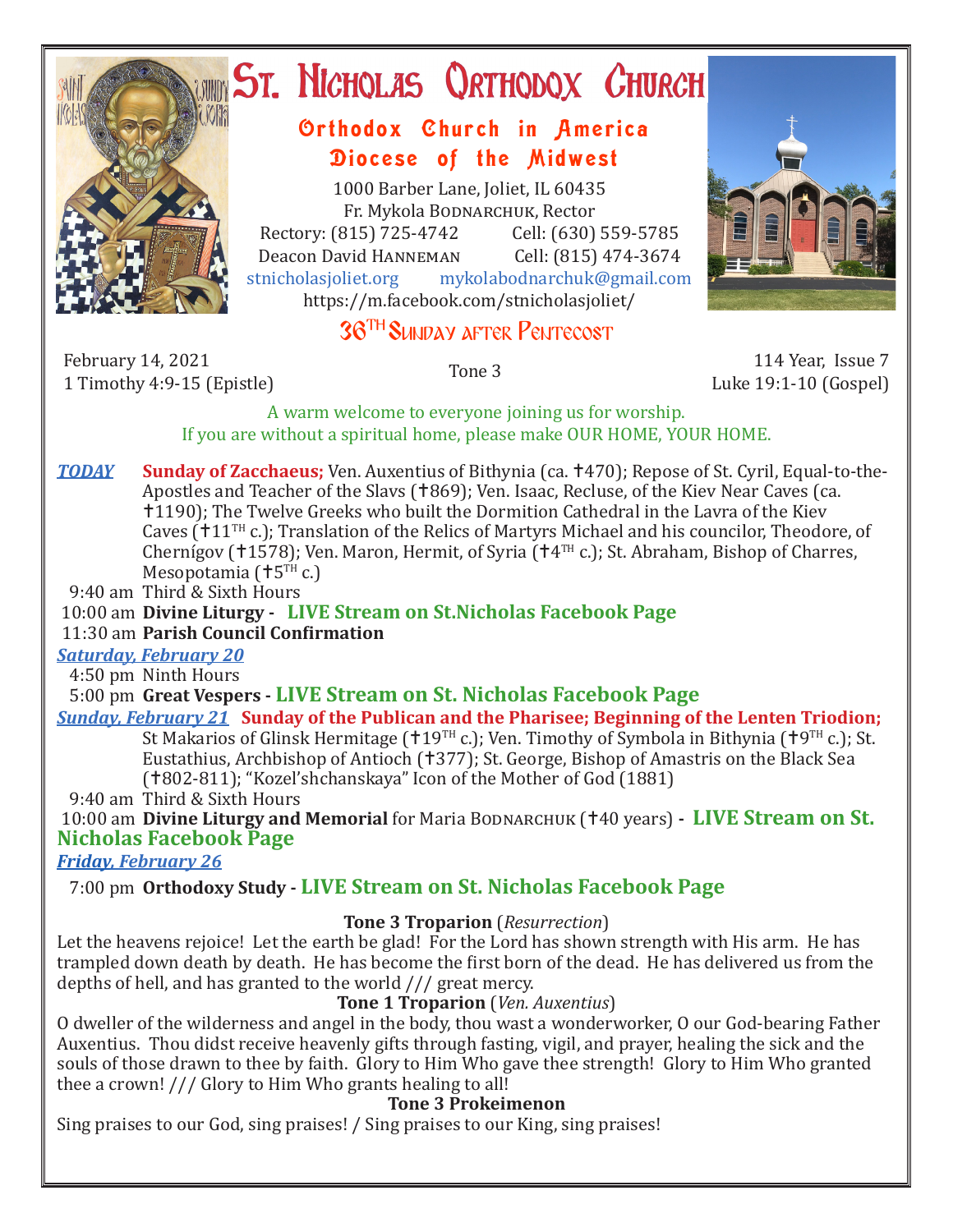

# ST. NICHOLAS QRTHODOX CHURCH

## Orthodox Church in America Diocese of the Midwest

1000 Barber Lane, Joliet, IL 60435 Fr. Mykola Bodnarchuk, Rector Rectory: (815) 725-4742 Cell: (630) 559-5785<br>Deacon David HANNEMAN Cell: (815) 474-3674 Deacon David Hanneman<br>stnicholasioliet.org mykola mykolabodnarchuk@gmail.com https://m.facebook.com/stnicholasjoliet/



# 36TH Sunday after Pentecost

February 14, 2021 1 Timothy 4:9-15 (Epistle) Tone 3 114 Year, Issue 7

Luke 19:1-10 (Gospel)

A warm welcome to everyone joining us for worship. If you are without a spiritual home, please make OUR HOME, YOUR HOME.

*TODAY* Sunday of Zacchaeus; Ven. Auxentius of Bithynia (ca. †470); Repose of St. Cyril, Equal-to-the-Apostles and Teacher of the Slavs (†869); Ven. Isaac, Recluse, of the Kiev Near Caves (ca. 1190); The Twelve Greeks who built the Dormition Cathedral in the Lavra of the Kiev Caves  $(111)$ <sup>TH</sup> c.); Translation of the Relics of Martyrs Michael and his councilor, Theodore, of Chernígov (†1578); Ven. Maron, Hermit, of Syria († $4<sup>TH</sup>$  c.); St. Abraham, Bishop of Charres, Mesopotamia ( $+5$ <sup>TH</sup> c.)

9:40 am Third & Sixth Hours

#### 10:00 am **Divine Liturgy - LIVE Stream on St.Nicholas Facebook Page**

#### 11:30 am **Parish Council Confirmation**

#### *Saturday, February 20*

4:50 pm Ninth Hours

5:00 pm **Great Vespers - LIVE Stream on St. Nicholas Facebook Page**

#### *Sunday, February 21* **Sunday of the Publican and the Pharisee; Beginning of the Lenten Triodion;**

St Makarios of Glinsk Hermitage ( $119^{TH}$  c.); Ven. Timothy of Symbola in Bithynia ( $19^{TH}$  c.); St. Eustathius, Archbishop of Antioch (†377); St. George, Bishop of Amastris on the Black Sea (†802-811); "Kozel'shchanskaya" Icon of the Mother of God (1881)

9:40 am Third & Sixth Hours

10:00 am **Divine Liturgy and Memorial** for Maria BODNARCHUK (†40 years) - LIVE Stream on St. **Nicholas Facebook Page**

*Friday, February 26* 

### 7:00 pm **Orthodoxy Study - LIVE Stream on St. Nicholas Facebook Page**

#### **Tone 3 Troparion** (*Resurrection*)

Let the heavens rejoice! Let the earth be glad! For the Lord has shown strength with His arm. He has trampled down death by death. He has become the first born of the dead. He has delivered us from the depths of hell, and has granted to the world /// great mercy.

#### **Tone 1 Troparion** (*Ven. Auxentius*)

O dweller of the wilderness and angel in the body, thou wast a wonderworker, O our God-bearing Father Auxentius. Thou didst receive heavenly gifts through fasting, vigil, and prayer, healing the sick and the souls of those drawn to thee by faith. Glory to Him Who gave thee strength! Glory to Him Who granted thee a crown! /// Glory to Him Who grants healing to all!

#### **Tone 3 Prokeimenon**

Sing praises to our God, sing praises! / Sing praises to our King, sing praises!